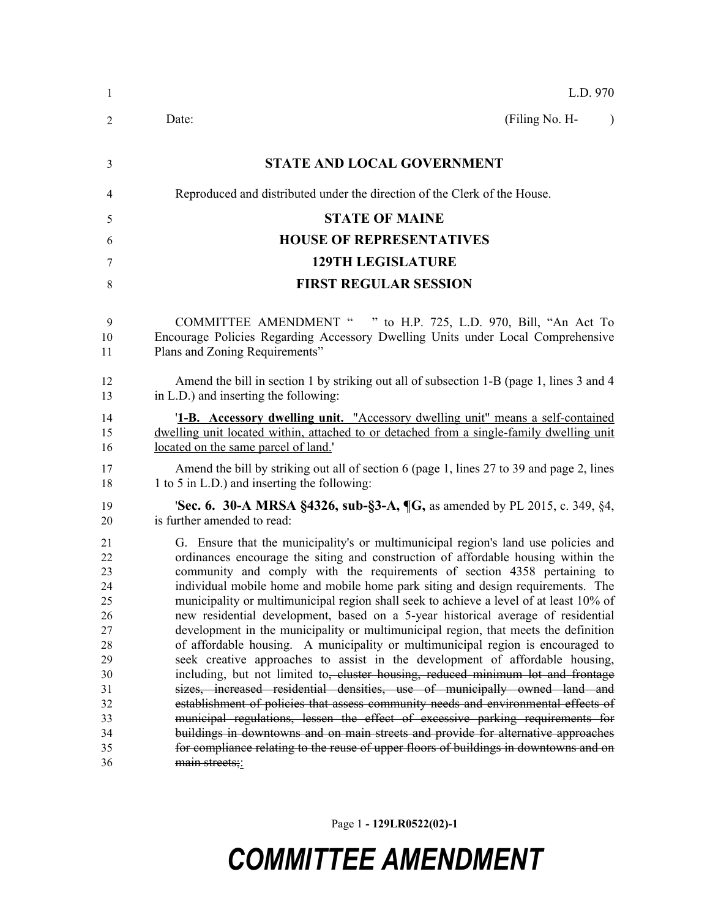| L.D. 970                                                                                                                                                                                                                                                                                                                                                                                                                                                                                                                                                                                                                                                                                                                                                                                                                                                                                                                                                                                                                                                                                                                                                                                                                                                                                                                |
|-------------------------------------------------------------------------------------------------------------------------------------------------------------------------------------------------------------------------------------------------------------------------------------------------------------------------------------------------------------------------------------------------------------------------------------------------------------------------------------------------------------------------------------------------------------------------------------------------------------------------------------------------------------------------------------------------------------------------------------------------------------------------------------------------------------------------------------------------------------------------------------------------------------------------------------------------------------------------------------------------------------------------------------------------------------------------------------------------------------------------------------------------------------------------------------------------------------------------------------------------------------------------------------------------------------------------|
| (Filing No. H-<br>Date:<br>$\lambda$                                                                                                                                                                                                                                                                                                                                                                                                                                                                                                                                                                                                                                                                                                                                                                                                                                                                                                                                                                                                                                                                                                                                                                                                                                                                                    |
| <b>STATE AND LOCAL GOVERNMENT</b>                                                                                                                                                                                                                                                                                                                                                                                                                                                                                                                                                                                                                                                                                                                                                                                                                                                                                                                                                                                                                                                                                                                                                                                                                                                                                       |
| Reproduced and distributed under the direction of the Clerk of the House.                                                                                                                                                                                                                                                                                                                                                                                                                                                                                                                                                                                                                                                                                                                                                                                                                                                                                                                                                                                                                                                                                                                                                                                                                                               |
| <b>STATE OF MAINE</b>                                                                                                                                                                                                                                                                                                                                                                                                                                                                                                                                                                                                                                                                                                                                                                                                                                                                                                                                                                                                                                                                                                                                                                                                                                                                                                   |
| <b>HOUSE OF REPRESENTATIVES</b>                                                                                                                                                                                                                                                                                                                                                                                                                                                                                                                                                                                                                                                                                                                                                                                                                                                                                                                                                                                                                                                                                                                                                                                                                                                                                         |
| <b>129TH LEGISLATURE</b>                                                                                                                                                                                                                                                                                                                                                                                                                                                                                                                                                                                                                                                                                                                                                                                                                                                                                                                                                                                                                                                                                                                                                                                                                                                                                                |
| <b>FIRST REGULAR SESSION</b>                                                                                                                                                                                                                                                                                                                                                                                                                                                                                                                                                                                                                                                                                                                                                                                                                                                                                                                                                                                                                                                                                                                                                                                                                                                                                            |
| <b>COMMITTEE AMENDMENT "</b><br>" to H.P. 725, L.D. 970, Bill, "An Act To<br>Encourage Policies Regarding Accessory Dwelling Units under Local Comprehensive<br>Plans and Zoning Requirements"                                                                                                                                                                                                                                                                                                                                                                                                                                                                                                                                                                                                                                                                                                                                                                                                                                                                                                                                                                                                                                                                                                                          |
| Amend the bill in section 1 by striking out all of subsection 1-B (page 1, lines 3 and 4<br>in L.D.) and inserting the following:                                                                                                                                                                                                                                                                                                                                                                                                                                                                                                                                                                                                                                                                                                                                                                                                                                                                                                                                                                                                                                                                                                                                                                                       |
| '1-B. Accessory dwelling unit. "Accessory dwelling unit" means a self-contained<br>dwelling unit located within, attached to or detached from a single-family dwelling unit<br>located on the same parcel of land.                                                                                                                                                                                                                                                                                                                                                                                                                                                                                                                                                                                                                                                                                                                                                                                                                                                                                                                                                                                                                                                                                                      |
| Amend the bill by striking out all of section 6 (page 1, lines 27 to 39 and page 2, lines<br>1 to 5 in L.D.) and inserting the following:                                                                                                                                                                                                                                                                                                                                                                                                                                                                                                                                                                                                                                                                                                                                                                                                                                                                                                                                                                                                                                                                                                                                                                               |
| <b>Sec. 6. 30-A MRSA §4326, sub-§3-A, <math>\P G</math></b> , as amended by PL 2015, c. 349, §4,<br>is further amended to read:                                                                                                                                                                                                                                                                                                                                                                                                                                                                                                                                                                                                                                                                                                                                                                                                                                                                                                                                                                                                                                                                                                                                                                                         |
| G. Ensure that the municipality's or multimunicipal region's land use policies and<br>ordinances encourage the siting and construction of affordable housing within the<br>community and comply with the requirements of section 4358 pertaining to<br>individual mobile home and mobile home park siting and design requirements. The<br>municipality or multimunicipal region shall seek to achieve a level of at least 10% of<br>new residential development, based on a 5-year historical average of residential<br>development in the municipality or multimunicipal region, that meets the definition<br>of affordable housing. A municipality or multimunicipal region is encouraged to<br>seek creative approaches to assist in the development of affordable housing,<br>including, but not limited to, cluster housing, reduced minimum lot and frontage<br>sizes, increased residential densities, use of municipally owned land and<br>establishment of policies that assess community needs and environmental effects of<br>municipal regulations, lessen the effect of excessive parking requirements for<br>buildings in downtowns and on main streets and provide for alternative approaches<br>for compliance relating to the reuse of upper floors of buildings in downtowns and on<br>main streets;: |
|                                                                                                                                                                                                                                                                                                                                                                                                                                                                                                                                                                                                                                                                                                                                                                                                                                                                                                                                                                                                                                                                                                                                                                                                                                                                                                                         |

Page 1 **- 129LR0522(02)-1**

## *COMMITTEE AMENDMENT*